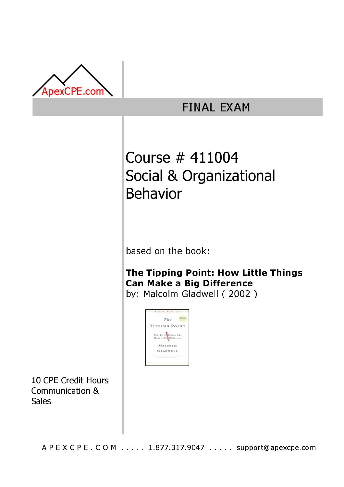

## **FINAL EXAM**

# Course # 411004 Social & Organizational Behavior

based on the book:

### The Tipping Point: How Little Things **Can Make a Big Difference** by: Malcolm Gladwell (2002)



10 CPE Credit Hours Communication & **Sales** 

A P E X C P E . C O M . . . . . 1.877.317.9047 . . . . . support@apexcpe.com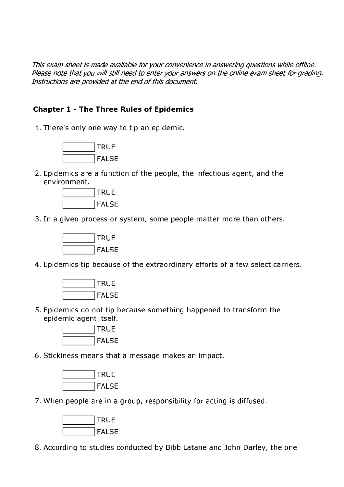This exam sheet is made available for your convenience in answering questions while offline. Please note that you will still need to enter your answers on the online exam sheet for grading. Instructions are provided at the end of this document.

#### **Chapter 1 - The Three Rules of Epidemics**

1. There's only one way to tip an epidemic.



2. Epidemics are a function of the people, the infectious agent, and the environment



3. In a given process or system, some people matter more than others.



4. Epidemics tip because of the extraordinary efforts of a few select carriers.



5. Epidemics do not tip because something happened to transform the epidemic agent itself.



6. Stickiness means that a message makes an impact.



7. When people are in a group, responsibility for acting is diffused.



8. According to studies conducted by Bibb Latane and John Darley, the one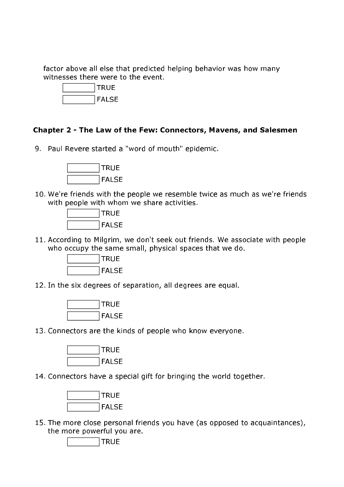factor above all else that predicted helping behavior was how many witnesses there were to the event.



#### Chapter 2 - The Law of the Few: Connectors, Mavens, and Salesmen

9. Paul Revere started a "word of mouth" epidemic.



10. We're friends with the people we resemble twice as much as we're friends with people with whom we share activities.



11. According to Milgrim, we don't seek out friends. We associate with people who occupy the same small, physical spaces that we do.



12. In the six degrees of separation, all degrees are equal.



13. Connectors are the kinds of people who know everyone.



14. Connectors have a special gift for bringing the world together.



15. The more close personal friends you have (as opposed to acquaintances), the more powerful you are.

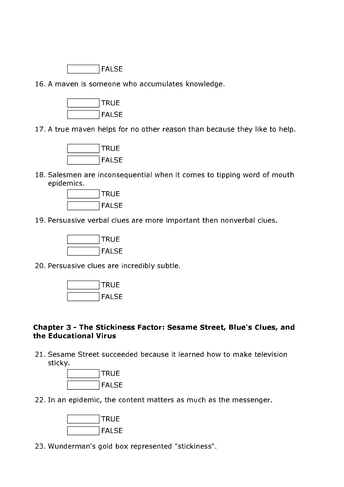

16. A maven is someone who accumulates knowledge.



17. A true maven helps for no other reason than because they like to help.



18. Salesmen are inconsequential when it comes to tipping word of mouth epidemics.



19. Persuasive verbal clues are more important then nonverbal clues.



20. Persuasive clues are incredibly subtle.



#### Chapter 3 - The Stickiness Factor: Sesame Street, Blue's Clues, and the Educational Virus

21. Sesame Street succeeded because it learned how to make television sticky.



22. In an epidemic, the content matters as much as the messenger.



23. Wunderman's gold box represented "stickiness".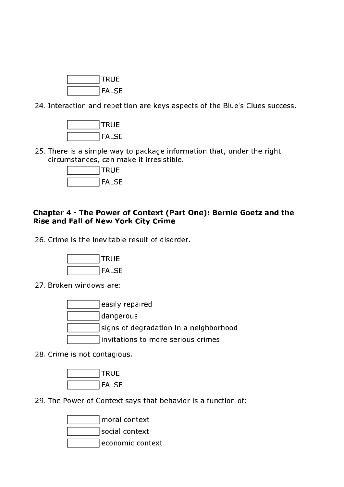

24. Interaction and repetition are keys aspects of the Blue's Clues success.



25. There is a simple way to package information that, under the right circumstances, can make it irresistible.



#### Chapter 4 - The Power of Context (Part One): Bernie Goetz and the **Rise and Fall of New York City Crime**

26. Crime is the inevitable result of disorder.



27. Broken windows are:

easily repaired dangerous signs of degradation in a neighborhood invitations to more serious crimes

28. Crime is not contagious.



29. The Power of Context says that behavior is a function of:

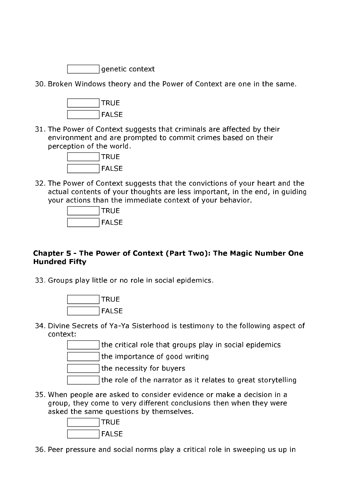

30. Broken Windows theory and the Power of Context are one in the same.



31. The Power of Context suggests that criminals are affected by their environment and are prompted to commit crimes based on their perception of the world.



32. The Power of Context suggests that the convictions of your heart and the actual contents of your thoughts are less important, in the end, in guiding your actions than the immediate context of your behavior.



#### Chapter 5 - The Power of Context (Part Two): The Magic Number One **Hundred Fifty**

33. Groups play little or no role in social epidemics.



34. Divine Secrets of Ya-Ya Sisterhood is testimony to the following aspect of context:

the critical role that groups play in social epidemics

the importance of good writing

the necessity for buyers

- the role of the narrator as it relates to great storytelling
- 35. When people are asked to consider evidence or make a decision in a group, they come to very different conclusions then when they were asked the same questions by themselves.



36. Peer pressure and social norms play a critical role in sweeping us up in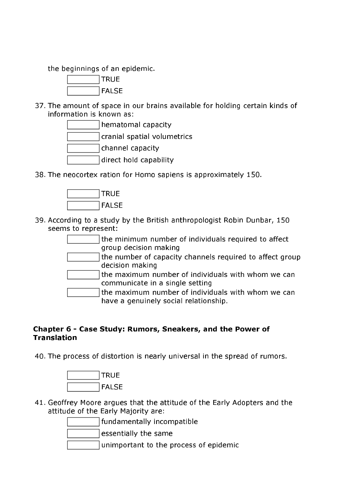the beginnings of an epidemic.



37. The amount of space in our brains available for holding certain kinds of information is known as:



38. The neocortex ration for Homo sapiens is approximately 150.



39. According to a study by the British anthropologist Robin Dunbar, 150 seems to represent:

> the minimum number of individuals required to affect group decision making

the number of capacity channels required to affect group decision making

the maximum number of individuals with whom we can communicate in a single setting

the maximum number of individuals with whom we can have a genuinely social relationship.

#### Chapter 6 - Case Study: Rumors, Sneakers, and the Power of **Translation**

40. The process of distortion is nearly universal in the spread of rumors.



41. Geoffrey Moore argues that the attitude of the Early Adopters and the attitude of the Early Majority are:

fundamentally incompatible

essentially the same

unimportant to the process of epidemic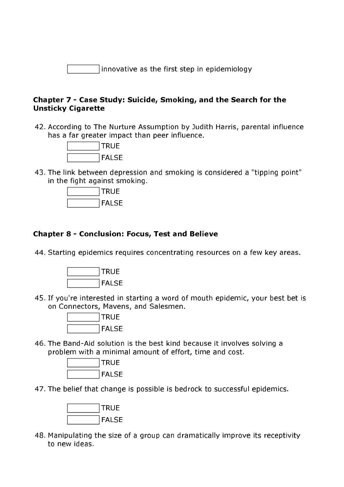innovative as the first step in epidemiology

#### Chapter 7 - Case Study: Suicide, Smoking, and the Search for the **Unsticky Cigarette**

42. According to The Nurture Assumption by Judith Harris, parental influence has a far greater impact than peer influence.



43. The link between depression and smoking is considered a "tipping point" in the fight against smoking.



#### **Chapter 8 - Conclusion: Focus, Test and Believe**

44. Starting epidemics requires concentrating resources on a few key areas.



45. If you're interested in starting a word of mouth epidemic, your best bet is on Connectors, Mavens, and Salesmen.



46. The Band-Aid solution is the best kind because it involves solving a problem with a minimal amount of effort, time and cost.



47. The belief that change is possible is bedrock to successful epidemics.



48. Manipulating the size of a group can dramatically improve its receptivity to new ideas.